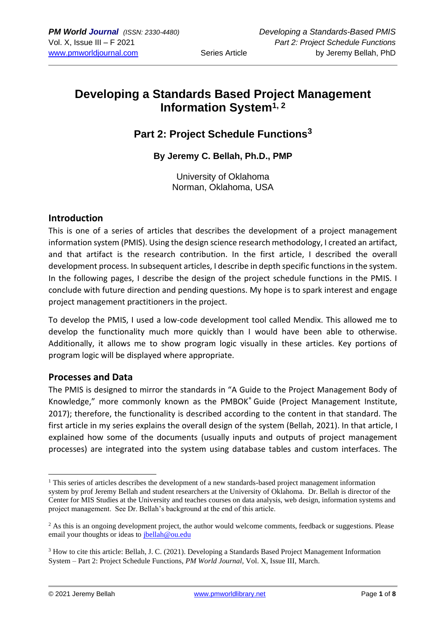# **Developing a Standards Based Project Management Information System1, <sup>2</sup>**

## **Part 2: Project Schedule Functions<sup>3</sup>**

**By Jeremy C. Bellah, Ph.D., PMP**

University of Oklahoma Norman, Oklahoma, USA

## **Introduction**

This is one of a series of articles that describes the development of a project management information system (PMIS). Using the design science research methodology, I created an artifact, and that artifact is the research contribution. In the first article, I described the overall development process. In subsequent articles, I describe in depth specific functions in the system. In the following pages, I describe the design of the project schedule functions in the PMIS. I conclude with future direction and pending questions. My hope is to spark interest and engage project management practitioners in the project.

To develop the PMIS, I used a low-code development tool called Mendix. This allowed me to develop the functionality much more quickly than I would have been able to otherwise. Additionally, it allows me to show program logic visually in these articles. Key portions of program logic will be displayed where appropriate.

## **Processes and Data**

The PMIS is designed to mirror the standards in "A Guide to the Project Management Body of Knowledge," more commonly known as the PMBOK® Guide (Project Management Institute, 2017); therefore, the functionality is described according to the content in that standard. The first article in my series explains the overall design of the system (Bellah, 2021). In that article, I explained how some of the documents (usually inputs and outputs of project management processes) are integrated into the system using database tables and custom interfaces. The

<sup>&</sup>lt;sup>1</sup> This series of articles describes the development of a new standards-based project management information system by prof Jeremy Bellah and student researchers at the University of Oklahoma. Dr. Bellah is director of the Center for MIS Studies at the University and teaches courses on data analysis, web design, information systems and project management. See Dr. Bellah's background at the end of this article.

<sup>&</sup>lt;sup>2</sup> As this is an ongoing development project, the author would welcome comments, feedback or suggestions. Please email your thoughts or ideas to [jbellah@ou.edu](mailto:jbellah@ou.edu)

<sup>3</sup> How to cite this article: Bellah, J. C. (2021). Developing a Standards Based Project Management Information System – Part 2: Project Schedule Functions, *PM World Journal,* Vol. X, Issue III, March.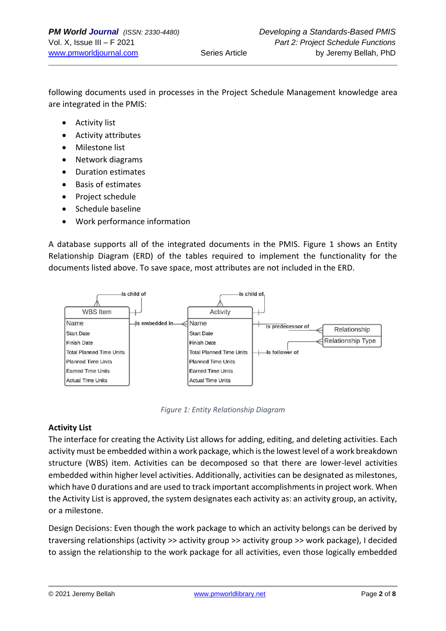following documents used in processes in the Project Schedule Management knowledge area are integrated in the PMIS:

- Activity list
- Activity attributes
- Milestone list
- Network diagrams
- Duration estimates
- Basis of estimates
- Project schedule
- Schedule baseline
- Work performance information

A database supports all of the integrated documents in the PMIS. Figure 1 shows an Entity Relationship Diagram (ERD) of the tables required to implement the functionality for the documents listed above. To save space, most attributes are not included in the ERD.



*Figure 1: Entity Relationship Diagram*

### **Activity List**

The interface for creating the Activity List allows for adding, editing, and deleting activities. Each activity must be embedded within a work package, which is the lowest level of a work breakdown structure (WBS) item. Activities can be decomposed so that there are lower-level activities embedded within higher level activities. Additionally, activities can be designated as milestones, which have 0 durations and are used to track important accomplishments in project work. When the Activity List is approved, the system designates each activity as: an activity group, an activity, or a milestone.

Design Decisions: Even though the work package to which an activity belongs can be derived by traversing relationships (activity >> activity group >> activity group >> work package), I decided to assign the relationship to the work package for all activities, even those logically embedded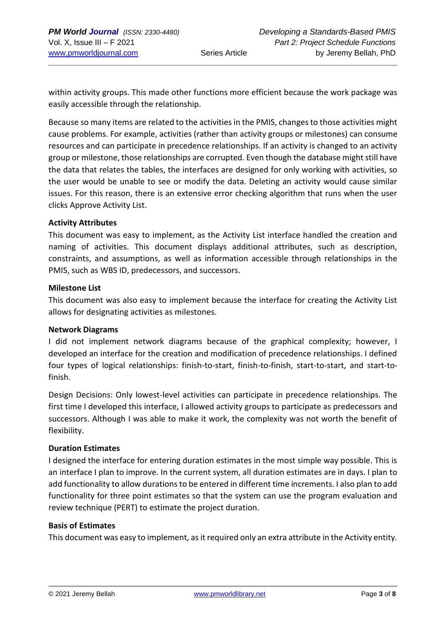within activity groups. This made other functions more efficient because the work package was easily accessible through the relationship.

Because so many items are related to the activities in the PMIS, changes to those activities might cause problems. For example, activities (rather than activity groups or milestones) can consume resources and can participate in precedence relationships. If an activity is changed to an activity group or milestone, those relationships are corrupted. Even though the database might still have the data that relates the tables, the interfaces are designed for only working with activities, so the user would be unable to see or modify the data. Deleting an activity would cause similar issues. For this reason, there is an extensive error checking algorithm that runs when the user clicks Approve Activity List.

### **Activity Attributes**

This document was easy to implement, as the Activity List interface handled the creation and naming of activities. This document displays additional attributes, such as description, constraints, and assumptions, as well as information accessible through relationships in the PMIS, such as WBS ID, predecessors, and successors.

#### **Milestone List**

This document was also easy to implement because the interface for creating the Activity List allows for designating activities as milestones.

### **Network Diagrams**

I did not implement network diagrams because of the graphical complexity; however, I developed an interface for the creation and modification of precedence relationships. I defined four types of logical relationships: finish-to-start, finish-to-finish, start-to-start, and start-tofinish.

Design Decisions: Only lowest-level activities can participate in precedence relationships. The first time I developed this interface, I allowed activity groups to participate as predecessors and successors. Although I was able to make it work, the complexity was not worth the benefit of flexibility.

### **Duration Estimates**

I designed the interface for entering duration estimates in the most simple way possible. This is an interface I plan to improve. In the current system, all duration estimates are in days. I plan to add functionality to allow durations to be entered in different time increments. I also plan to add functionality for three point estimates so that the system can use the program evaluation and review technique (PERT) to estimate the project duration.

#### **Basis of Estimates**

This document was easy to implement, as it required only an extra attribute in the Activity entity.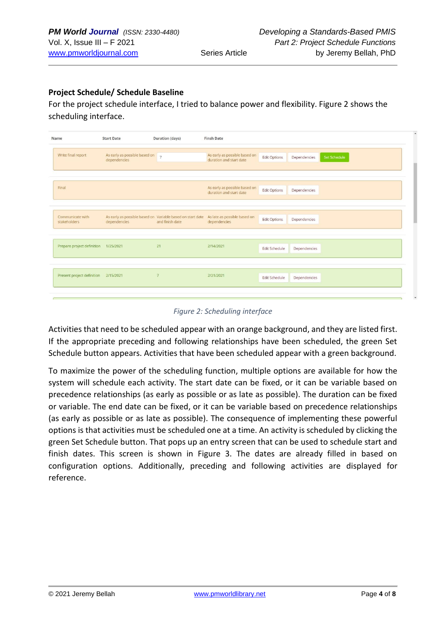## **Project Schedule/ Schedule Baseline**

For the project schedule interface, I tried to balance power and flexibility. Figure 2 shows the scheduling interface.

| Name                             | <b>Start Date</b>                                            | <b>Duration</b> (days) | <b>Finsh Date</b>                                                                                       |                     |              |              |
|----------------------------------|--------------------------------------------------------------|------------------------|---------------------------------------------------------------------------------------------------------|---------------------|--------------|--------------|
| Write final report               | As early as possible based on $\overline{z}$<br>dependencies |                        | As early as possible based on<br>duration and start date                                                | <b>Edit Options</b> | Dependencies | Set Schedule |
|                                  |                                                              |                        |                                                                                                         |                     |              |              |
| Final                            |                                                              |                        | As early as possible based on<br>duration and start date                                                | <b>Edit Options</b> | Dependencies |              |
|                                  |                                                              |                        |                                                                                                         |                     |              |              |
| Communicate with<br>stakeholders | dependencies                                                 | and finish date        | As early as possible based on Variable based on start date As late as possible based on<br>dependencies | <b>Edit Options</b> | Dependencies |              |
|                                  |                                                              |                        |                                                                                                         |                     |              |              |
| Prepare project definition       | 1/25/2021                                                    | 21                     | 2/14/2021                                                                                               | Edit Schedule       | Dependencies |              |
|                                  |                                                              |                        |                                                                                                         |                     |              |              |
| Present project definition       | 2/15/2021                                                    | $\overline{7}$         | 2/21/2021                                                                                               | Edit Schedule       | Dependencies |              |
|                                  |                                                              |                        |                                                                                                         |                     |              |              |

*Figure 2: Scheduling interface*

Activities that need to be scheduled appear with an orange background, and they are listed first. If the appropriate preceding and following relationships have been scheduled, the green Set Schedule button appears. Activities that have been scheduled appear with a green background.

To maximize the power of the scheduling function, multiple options are available for how the system will schedule each activity. The start date can be fixed, or it can be variable based on precedence relationships (as early as possible or as late as possible). The duration can be fixed or variable. The end date can be fixed, or it can be variable based on precedence relationships (as early as possible or as late as possible). The consequence of implementing these powerful options is that activities must be scheduled one at a time. An activity is scheduled by clicking the green Set Schedule button. That pops up an entry screen that can be used to schedule start and finish dates. This screen is shown in Figure 3. The dates are already filled in based on configuration options. Additionally, preceding and following activities are displayed for reference.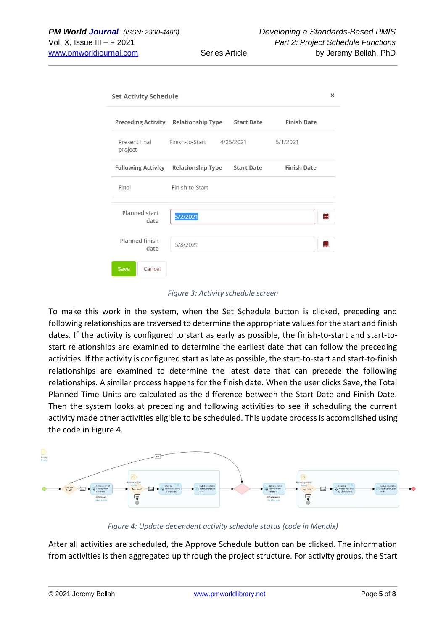| <b>Set Activity Schedule</b> |                              |                   |                    |   |  |  |  |  |
|------------------------------|------------------------------|-------------------|--------------------|---|--|--|--|--|
| <b>Preceding Activity</b>    | <b>Relationship Type</b>     | <b>Start Date</b> | <b>Finish Date</b> |   |  |  |  |  |
| Present final<br>project     | Finish-to-Start<br>4/25/2021 |                   | 5/1/2021           |   |  |  |  |  |
| <b>Following Activity</b>    | <b>Relationship Type</b>     | <b>Start Date</b> | <b>Finish Date</b> |   |  |  |  |  |
| Final                        | Finish-to-Start              |                   |                    |   |  |  |  |  |
| Planned start<br>date        | 5/2/2021                     |                   |                    | ≣ |  |  |  |  |
| Planned finish<br>date       | 5/8/2021                     |                   |                    | ≣ |  |  |  |  |
| Cancel<br>Save               |                              |                   |                    |   |  |  |  |  |

#### *Figure 3: Activity schedule screen*

To make this work in the system, when the Set Schedule button is clicked, preceding and following relationships are traversed to determine the appropriate values for the start and finish dates. If the activity is configured to start as early as possible, the finish-to-start and start-tostart relationships are examined to determine the earliest date that can follow the preceding activities. If the activity is configured start as late as possible, the start-to-start and start-to-finish relationships are examined to determine the latest date that can precede the following relationships. A similar process happens for the finish date. When the user clicks Save, the Total Planned Time Units are calculated as the difference between the Start Date and Finish Date. Then the system looks at preceding and following activities to see if scheduling the current activity made other activities eligible to be scheduled. This update process is accomplished using the code in Figure 4.



*Figure 4: Update dependent activity schedule status (code in Mendix)*

After all activities are scheduled, the Approve Schedule button can be clicked. The information from activities is then aggregated up through the project structure. For activity groups, the Start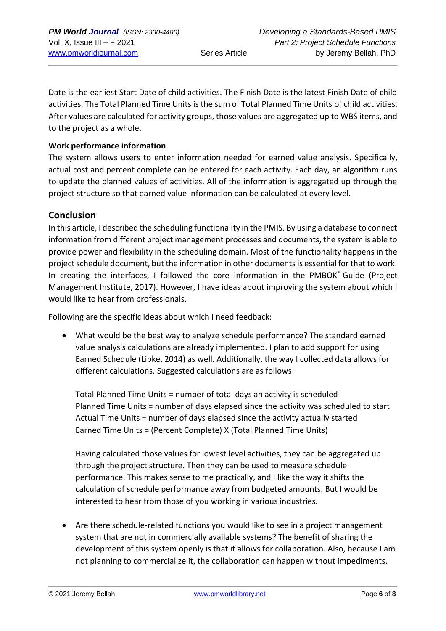Date is the earliest Start Date of child activities. The Finish Date is the latest Finish Date of child activities. The Total Planned Time Units is the sum of Total Planned Time Units of child activities. After values are calculated for activity groups, those values are aggregated up to WBS items, and to the project as a whole.

## **Work performance information**

The system allows users to enter information needed for earned value analysis. Specifically, actual cost and percent complete can be entered for each activity. Each day, an algorithm runs to update the planned values of activities. All of the information is aggregated up through the project structure so that earned value information can be calculated at every level.

## **Conclusion**

In this article, I described the scheduling functionality in the PMIS. By using a database to connect information from different project management processes and documents, the system is able to provide power and flexibility in the scheduling domain. Most of the functionality happens in the project schedule document, but the information in other documents is essential for that to work. In creating the interfaces, I followed the core information in the PMBOK® Guide (Project Management Institute, 2017). However, I have ideas about improving the system about which I would like to hear from professionals.

Following are the specific ideas about which I need feedback:

• What would be the best way to analyze schedule performance? The standard earned value analysis calculations are already implemented. I plan to add support for using Earned Schedule (Lipke, 2014) as well. Additionally, the way I collected data allows for different calculations. Suggested calculations are as follows:

Total Planned Time Units = number of total days an activity is scheduled Planned Time Units = number of days elapsed since the activity was scheduled to start Actual Time Units = number of days elapsed since the activity actually started Earned Time Units = (Percent Complete) X (Total Planned Time Units)

Having calculated those values for lowest level activities, they can be aggregated up through the project structure. Then they can be used to measure schedule performance. This makes sense to me practically, and I like the way it shifts the calculation of schedule performance away from budgeted amounts. But I would be interested to hear from those of you working in various industries.

• Are there schedule-related functions you would like to see in a project management system that are not in commercially available systems? The benefit of sharing the development of this system openly is that it allows for collaboration. Also, because I am not planning to commercialize it, the collaboration can happen without impediments.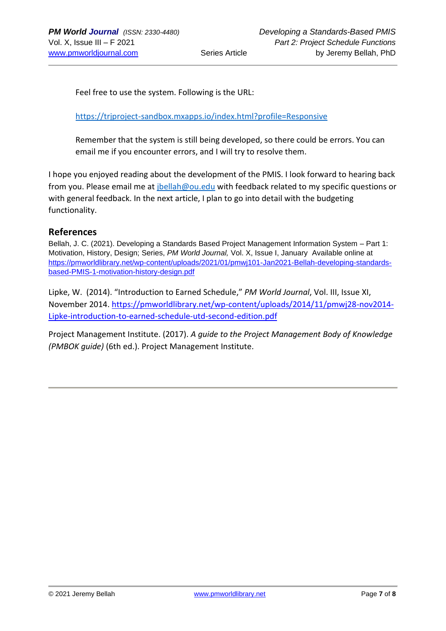Feel free to use the system. Following is the URL:

<https://trjproject-sandbox.mxapps.io/index.html?profile=Responsive>

Remember that the system is still being developed, so there could be errors. You can email me if you encounter errors, and I will try to resolve them.

I hope you enjoyed reading about the development of the PMIS. I look forward to hearing back from you. Please email me at *jbellah@ou.edu* with feedback related to my specific questions or with general feedback. In the next article, I plan to go into detail with the budgeting functionality.

## **References**

Bellah, J. C. (2021). Developing a Standards Based Project Management Information System – Part 1: Motivation, History, Design; Series, *PM World Journal,* Vol. X, Issue I, January Available online at [https://pmworldlibrary.net/wp-content/uploads/2021/01/pmwj101-Jan2021-Bellah-developing-standards](https://pmworldlibrary.net/wp-content/uploads/2021/01/pmwj101-Jan2021-Bellah-developing-standards-based-PMIS-1-motivation-history-design.pdf)[based-PMIS-1-motivation-history-design.pdf](https://pmworldlibrary.net/wp-content/uploads/2021/01/pmwj101-Jan2021-Bellah-developing-standards-based-PMIS-1-motivation-history-design.pdf)

Lipke, W. (2014). "Introduction to Earned Schedule," *PM World Journal*, Vol. III, Issue XI, November 2014. [https://pmworldlibrary.net/wp-content/uploads/2014/11/pmwj28-nov2014-](https://pmworldlibrary.net/wp-content/uploads/2014/11/pmwj28-nov2014-Lipke-introduction-to-earned-schedule-utd-second-edition.pdf) [Lipke-introduction-to-earned-schedule-utd-second-edition.pdf](https://pmworldlibrary.net/wp-content/uploads/2014/11/pmwj28-nov2014-Lipke-introduction-to-earned-schedule-utd-second-edition.pdf)

Project Management Institute. (2017). *A guide to the Project Management Body of Knowledge (PMBOK guide)* (6th ed.). Project Management Institute.